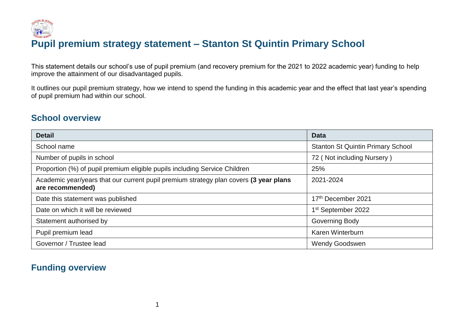

# **Pupil premium strategy statement – Stanton St Quintin Primary School**

This statement details our school's use of pupil premium (and recovery premium for the 2021 to 2022 academic year) funding to help improve the attainment of our disadvantaged pupils.

It outlines our pupil premium strategy, how we intend to spend the funding in this academic year and the effect that last year's spending of pupil premium had within our school.

#### **School overview**

| <b>Detail</b>                                                                                             | <b>Data</b>                              |
|-----------------------------------------------------------------------------------------------------------|------------------------------------------|
| School name                                                                                               | <b>Stanton St Quintin Primary School</b> |
| Number of pupils in school                                                                                | 72 (Not including Nursery)               |
| Proportion (%) of pupil premium eligible pupils including Service Children                                | 25%                                      |
| Academic year/years that our current pupil premium strategy plan covers (3 year plans<br>are recommended) | 2021-2024                                |
| Date this statement was published                                                                         | 17th December 2021                       |
| Date on which it will be reviewed                                                                         | 1 <sup>st</sup> September 2022           |
| Statement authorised by                                                                                   | <b>Governing Body</b>                    |
| Pupil premium lead                                                                                        | <b>Karen Winterburn</b>                  |
| Governor / Trustee lead                                                                                   | <b>Wendy Goodswen</b>                    |

### **Funding overview**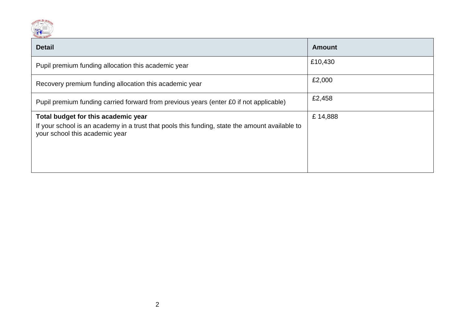

| <b>Detail</b>                                                                                                                                                           | <b>Amount</b> |
|-------------------------------------------------------------------------------------------------------------------------------------------------------------------------|---------------|
| Pupil premium funding allocation this academic year                                                                                                                     | £10,430       |
| Recovery premium funding allocation this academic year                                                                                                                  | £2,000        |
| Pupil premium funding carried forward from previous years (enter £0 if not applicable)                                                                                  | £2,458        |
| Total budget for this academic year<br>If your school is an academy in a trust that pools this funding, state the amount available to<br>your school this academic year | £14,888       |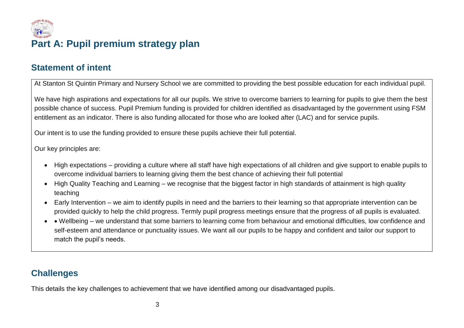

### **Statement of intent**

At Stanton St Quintin Primary and Nursery School we are committed to providing the best possible education for each individual pupil.

We have high aspirations and expectations for all our pupils. We strive to overcome barriers to learning for pupils to give them the best possible chance of success. Pupil Premium funding is provided for children identified as disadvantaged by the government using FSM entitlement as an indicator. There is also funding allocated for those who are looked after (LAC) and for service pupils.

Our intent is to use the funding provided to ensure these pupils achieve their full potential.

Our key principles are:

- High expectations providing a culture where all staff have high expectations of all children and give support to enable pupils to overcome individual barriers to learning giving them the best chance of achieving their full potential
- High Quality Teaching and Learning we recognise that the biggest factor in high standards of attainment is high quality teaching
- Early Intervention we aim to identify pupils in need and the barriers to their learning so that appropriate intervention can be provided quickly to help the child progress. Termly pupil progress meetings ensure that the progress of all pupils is evaluated.
- Wellbeing we understand that some barriers to learning come from behaviour and emotional difficulties, low confidence and self-esteem and attendance or punctuality issues. We want all our pupils to be happy and confident and tailor our support to match the pupil's needs.

## **Challenges**

This details the key challenges to achievement that we have identified among our disadvantaged pupils.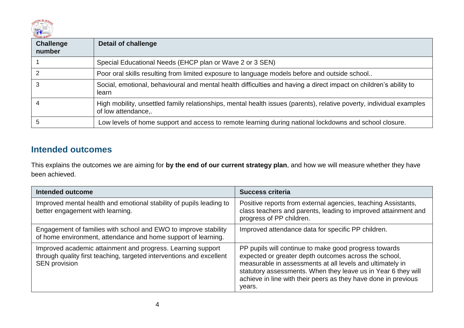

| <b>MARY SCHO</b><br><b>Challenge</b><br>number | Detail of challenge                                                                                                                         |
|------------------------------------------------|---------------------------------------------------------------------------------------------------------------------------------------------|
|                                                | Special Educational Needs (EHCP plan or Wave 2 or 3 SEN)                                                                                    |
|                                                | Poor oral skills resulting from limited exposure to language models before and outside school                                               |
|                                                | Social, emotional, behavioural and mental health difficulties and having a direct impact on children's ability to<br>learn                  |
|                                                | High mobility, unsettled family relationships, mental health issues (parents), relative poverty, individual examples<br>of low attendance,. |
|                                                | Low levels of home support and access to remote learning during national lockdowns and school closure.                                      |

#### **Intended outcomes**

This explains the outcomes we are aiming for **by the end of our current strategy plan**, and how we will measure whether they have been achieved.

| <b>Intended outcome</b>                                                                                                                              | <b>Success criteria</b>                                                                                                                                                                                                                                                                                                  |
|------------------------------------------------------------------------------------------------------------------------------------------------------|--------------------------------------------------------------------------------------------------------------------------------------------------------------------------------------------------------------------------------------------------------------------------------------------------------------------------|
| Improved mental health and emotional stability of pupils leading to<br>better engagement with learning.                                              | Positive reports from external agencies, teaching Assistants,<br>class teachers and parents, leading to improved attainment and<br>progress of PP children.                                                                                                                                                              |
| Engagement of families with school and EWO to improve stability<br>of home environment, attendance and home support of learning.                     | Improved attendance data for specific PP children.                                                                                                                                                                                                                                                                       |
| Improved academic attainment and progress. Learning support<br>through quality first teaching, targeted interventions and excellent<br>SEN provision | PP pupils will continue to make good progress towards<br>expected or greater depth outcomes across the school,<br>measurable in assessments at all levels and ultimately in<br>statutory assessments. When they leave us in Year 6 they will<br>achieve in line with their peers as they have done in previous<br>years. |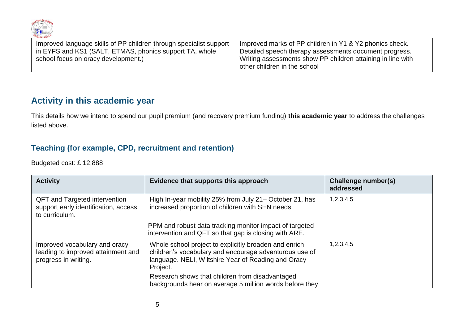

| Detailed speech therapy assessments document progress.<br>Writing assessments show PP children attaining in line with |
|-----------------------------------------------------------------------------------------------------------------------|
| other children in the school                                                                                          |

### **Activity in this academic year**

This details how we intend to spend our pupil premium (and recovery premium funding) **this academic year** to address the challenges listed above.

#### **Teaching (for example, CPD, recruitment and retention)**

Budgeted cost: £ 12,888

| <b>Activity</b>                                                                                | Evidence that supports this approach                                                                                                                                               | Challenge number(s)<br>addressed |
|------------------------------------------------------------------------------------------------|------------------------------------------------------------------------------------------------------------------------------------------------------------------------------------|----------------------------------|
| <b>QFT</b> and Targeted intervention<br>support early identification, access<br>to curriculum. | High In-year mobility 25% from July 21– October 21, has<br>increased proportion of children with SEN needs.                                                                        | 1,2,3,4,5                        |
|                                                                                                | PPM and robust data tracking monitor impact of targeted<br>intervention and QFT so that gap is closing with ARE.                                                                   |                                  |
| Improved vocabulary and oracy<br>leading to improved attainment and<br>progress in writing.    | Whole school project to explicitly broaden and enrich<br>children's vocabulary and encourage adventurous use of<br>language. NELI, Wiltshire Year of Reading and Oracy<br>Project. | 1,2,3,4,5                        |
|                                                                                                | Research shows that children from disadvantaged<br>backgrounds hear on average 5 million words before they                                                                         |                                  |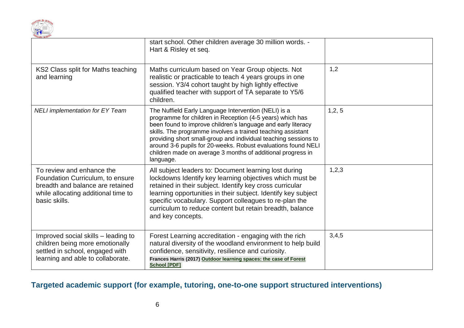

|                                                                                                                                                           | start school. Other children average 30 million words. -<br>Hart & Risley et seq.                                                                                                                                                                                                                                                                                                                                                                                |       |
|-----------------------------------------------------------------------------------------------------------------------------------------------------------|------------------------------------------------------------------------------------------------------------------------------------------------------------------------------------------------------------------------------------------------------------------------------------------------------------------------------------------------------------------------------------------------------------------------------------------------------------------|-------|
| KS2 Class split for Maths teaching<br>and learning                                                                                                        | Maths curriculum based on Year Group objects. Not<br>realistic or practicable to teach 4 years groups in one<br>session. Y3/4 cohort taught by high lightly effective<br>qualified teacher with support of TA separate to Y5/6<br>children.                                                                                                                                                                                                                      | 1,2   |
| <b>NELI</b> implementation for EY Team                                                                                                                    | The Nuffield Early Language Intervention (NELI) is a<br>programme for children in Reception (4-5 years) which has<br>been found to improve children's language and early literacy<br>skills. The programme involves a trained teaching assistant<br>providing short small-group and individual teaching sessions to<br>around 3-6 pupils for 20-weeks. Robust evaluations found NELI<br>children made on average 3 months of additional progress in<br>language. | 1,2,5 |
| To review and enhance the<br>Foundation Curriculum, to ensure<br>breadth and balance are retained<br>while allocating additional time to<br>basic skills. | All subject leaders to: Document learning lost during<br>lockdowns Identify key learning objectives which must be<br>retained in their subject. Identify key cross curricular<br>learning opportunities in their subject. Identify key subject<br>specific vocabulary. Support colleagues to re-plan the<br>curriculum to reduce content but retain breadth, balance<br>and key concepts.                                                                        | 1,2,3 |
| Improved social skills - leading to<br>children being more emotionally<br>settled in school, engaged with<br>learning and able to collaborate.            | Forest Learning accreditation - engaging with the rich<br>natural diversity of the woodland environment to help build<br>confidence, sensitivity, resilience and curiosity.<br>Frances Harris (2017) Outdoor learning spaces: the case of Forest<br><b>School [PDF]</b>                                                                                                                                                                                          | 3,4,5 |

## **Targeted academic support (for example, tutoring, one-to-one support structured interventions)**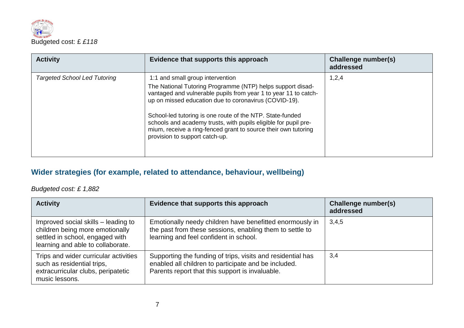

| <b>Activity</b>              | Evidence that supports this approach                                                                                                                                                                                                                                                                                                                                                                                                                           | Challenge number(s)<br>addressed |
|------------------------------|----------------------------------------------------------------------------------------------------------------------------------------------------------------------------------------------------------------------------------------------------------------------------------------------------------------------------------------------------------------------------------------------------------------------------------------------------------------|----------------------------------|
| Targeted School Led Tutoring | 1:1 and small group intervention<br>The National Tutoring Programme (NTP) helps support disad-<br>vantaged and vulnerable pupils from year 1 to year 11 to catch-<br>up on missed education due to coronavirus (COVID-19).<br>School-led tutoring is one route of the NTP. State-funded<br>schools and academy trusts, with pupils eligible for pupil pre-<br>mium, receive a ring-fenced grant to source their own tutoring<br>provision to support catch-up. | 1,2,4                            |

#### **Wider strategies (for example, related to attendance, behaviour, wellbeing)**

*Budgeted cost: £ 1,882*

| <b>Activity</b>                                                                                                                                | Evidence that supports this approach                                                                                                                                   | Challenge number(s)<br>addressed |
|------------------------------------------------------------------------------------------------------------------------------------------------|------------------------------------------------------------------------------------------------------------------------------------------------------------------------|----------------------------------|
| Improved social skills - leading to<br>children being more emotionally<br>settled in school, engaged with<br>learning and able to collaborate. | Emotionally needy children have benefitted enormously in<br>the past from these sessions, enabling them to settle to<br>learning and feel confident in school.         | 3,4,5                            |
| Trips and wider curricular activities<br>such as residential trips,<br>extracurricular clubs, peripatetic<br>music lessons.                    | Supporting the funding of trips, visits and residential has<br>enabled all children to participate and be included.<br>Parents report that this support is invaluable. | 3,4                              |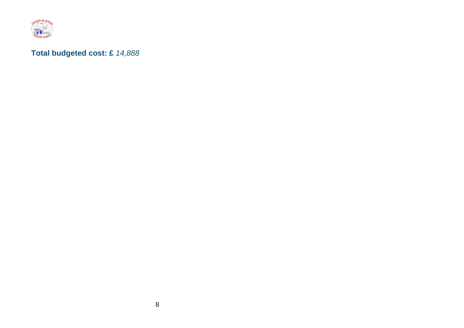

### **Total budgeted cost: £** *14,888*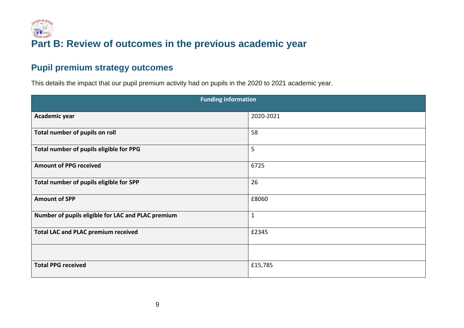

## **Pupil premium strategy outcomes**

This details the impact that our pupil premium activity had on pupils in the 2020 to 2021 academic year.

| <b>Funding information</b>                         |              |  |
|----------------------------------------------------|--------------|--|
| Academic year                                      | 2020-2021    |  |
| Total number of pupils on roll                     | 58           |  |
| Total number of pupils eligible for PPG            | 5            |  |
| <b>Amount of PPG received</b>                      | 6725         |  |
| Total number of pupils eligible for SPP            | 26           |  |
| <b>Amount of SPP</b>                               | £8060        |  |
| Number of pupils eligible for LAC and PLAC premium | $\mathbf{1}$ |  |
| <b>Total LAC and PLAC premium received</b>         | £2345        |  |
|                                                    |              |  |
| <b>Total PPG received</b>                          | £15,785      |  |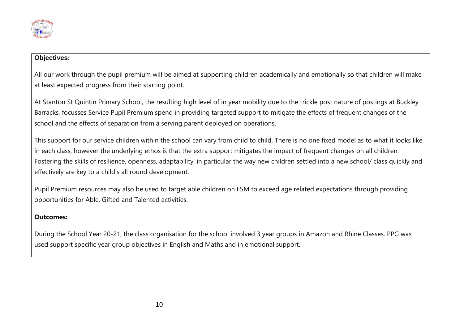

#### **Objectives:**

All our work through the pupil premium will be aimed at supporting children academically and emotionally so that children will make at least expected progress from their starting point.

At Stanton St Quintin Primary School, the resulting high level of in year mobility due to the trickle post nature of postings at Buckley Barracks, focusses Service Pupil Premium spend in providing targeted support to mitigate the effects of frequent changes of the school and the effects of separation from a serving parent deployed on operations.

This support for our service children within the school can vary from child to child. There is no one fixed model as to what it looks like in each class, however the underlying ethos is that the extra support mitigates the impact of frequent changes on all children. Fostering the skills of resilience, openness, adaptability, in particular the way new children settled into a new school/ class quickly and effectively are key to a child's all round development.

Pupil Premium resources may also be used to target able children on FSM to exceed age related expectations through providing opportunities for Able, Gifted and Talented activities.

#### **Outcomes:**

During the School Year 20-21, the class organisation for the school involved 3 year groups in Amazon and Rhine Classes. PPG was used support specific year group objectives in English and Maths and in emotional support.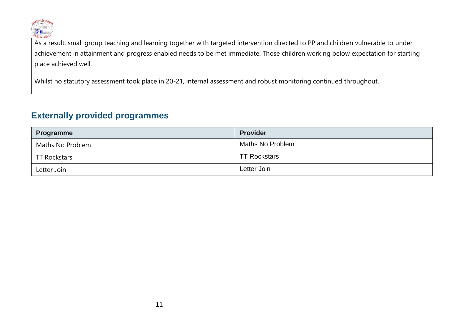

As a result, small group teaching and learning together with targeted intervention directed to PP and children vulnerable to under achievement in attainment and progress enabled needs to be met immediate. Those children working below expectation for starting place achieved well.

Whilst no statutory assessment took place in 20-21, internal assessment and robust monitoring continued throughout.

#### **Externally provided programmes**

| <b>Programme</b>    | <b>Provider</b>     |
|---------------------|---------------------|
| Maths No Problem    | Maths No Problem    |
| <b>TT Rockstars</b> | <b>TT Rockstars</b> |
| Letter Join         | Letter Join         |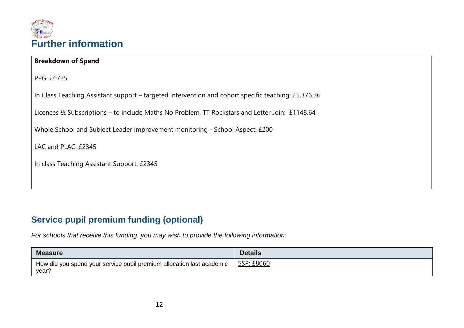

#### **Breakdown of Spend**

PPG: £6725

In Class Teaching Assistant support – targeted intervention and cohort specific teaching: £5,376.36

Licences & Subscriptions – to include Maths No Problem, TT Rockstars and Letter Join: £1148.64

Whole School and Subject Leader Improvement monitoring - School Aspect: £200

LAC and PLAC: £2345

In class Teaching Assistant Support: £2345

## **Service pupil premium funding (optional)**

*For schools that receive this funding, you may wish to provide the following information:* 

| <b>Measure</b>                                                                 | <b>Details</b> |
|--------------------------------------------------------------------------------|----------------|
| How did you spend your service pupil premium allocation last academic<br>year? | SSP: £8060     |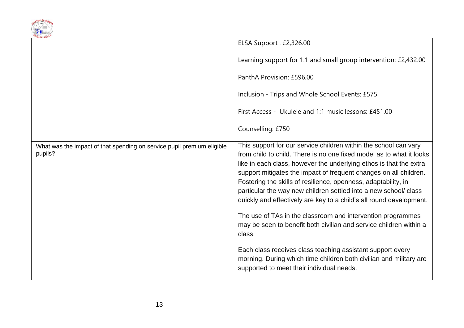

|                                                                                   | ELSA Support: £2,326.00                                                                                                                                                                                                                                                                                                                                                                                                                                                                                                                                                                                                                                                                                                                                                                                                          |
|-----------------------------------------------------------------------------------|----------------------------------------------------------------------------------------------------------------------------------------------------------------------------------------------------------------------------------------------------------------------------------------------------------------------------------------------------------------------------------------------------------------------------------------------------------------------------------------------------------------------------------------------------------------------------------------------------------------------------------------------------------------------------------------------------------------------------------------------------------------------------------------------------------------------------------|
|                                                                                   | Learning support for 1:1 and small group intervention: £2,432.00                                                                                                                                                                                                                                                                                                                                                                                                                                                                                                                                                                                                                                                                                                                                                                 |
|                                                                                   | PanthA Provision: £596.00                                                                                                                                                                                                                                                                                                                                                                                                                                                                                                                                                                                                                                                                                                                                                                                                        |
|                                                                                   | Inclusion - Trips and Whole School Events: £575                                                                                                                                                                                                                                                                                                                                                                                                                                                                                                                                                                                                                                                                                                                                                                                  |
|                                                                                   | First Access - Ukulele and 1:1 music lessons: £451.00                                                                                                                                                                                                                                                                                                                                                                                                                                                                                                                                                                                                                                                                                                                                                                            |
|                                                                                   | Counselling: £750                                                                                                                                                                                                                                                                                                                                                                                                                                                                                                                                                                                                                                                                                                                                                                                                                |
| What was the impact of that spending on service pupil premium eligible<br>pupils? | This support for our service children within the school can vary<br>from child to child. There is no one fixed model as to what it looks<br>like in each class, however the underlying ethos is that the extra<br>support mitigates the impact of frequent changes on all children.<br>Fostering the skills of resilience, openness, adaptability, in<br>particular the way new children settled into a new school/ class<br>quickly and effectively are key to a child's all round development.<br>The use of TAs in the classroom and intervention programmes<br>may be seen to benefit both civilian and service children within a<br>class.<br>Each class receives class teaching assistant support every<br>morning. During which time children both civilian and military are<br>supported to meet their individual needs. |